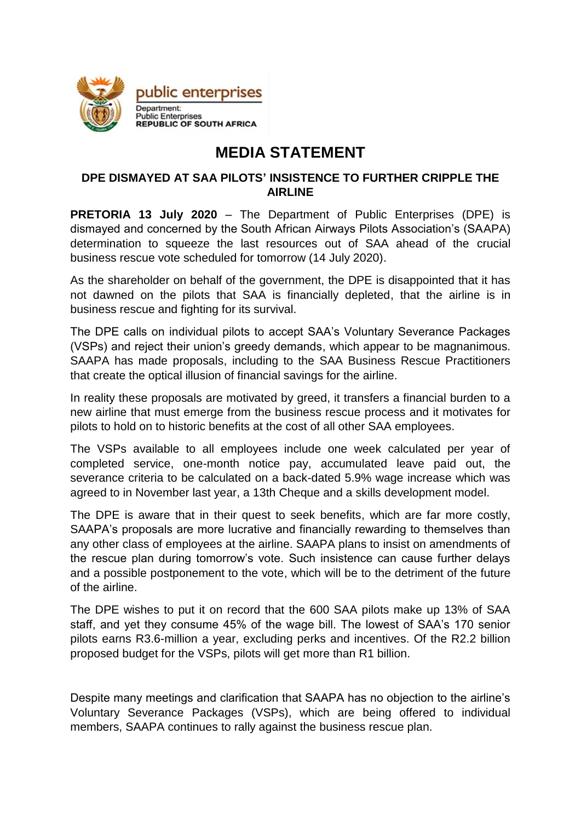

## **MEDIA STATEMENT**

## **DPE DISMAYED AT SAA PILOTS' INSISTENCE TO FURTHER CRIPPLE THE AIRLINE**

**PRETORIA 13 July 2020** – The Department of Public Enterprises (DPE) is dismayed and concerned by the South African Airways Pilots Association's (SAAPA) determination to squeeze the last resources out of SAA ahead of the crucial business rescue vote scheduled for tomorrow (14 July 2020).

As the shareholder on behalf of the government, the DPE is disappointed that it has not dawned on the pilots that SAA is financially depleted, that the airline is in business rescue and fighting for its survival.

The DPE calls on individual pilots to accept SAA's Voluntary Severance Packages (VSPs) and reject their union's greedy demands, which appear to be magnanimous. SAAPA has made proposals, including to the SAA Business Rescue Practitioners that create the optical illusion of financial savings for the airline.

In reality these proposals are motivated by greed, it transfers a financial burden to a new airline that must emerge from the business rescue process and it motivates for pilots to hold on to historic benefits at the cost of all other SAA employees.

The VSPs available to all employees include one week calculated per year of completed service, one-month notice pay, accumulated leave paid out, the severance criteria to be calculated on a back-dated 5.9% wage increase which was agreed to in November last year, a 13th Cheque and a skills development model.

The DPE is aware that in their quest to seek benefits, which are far more costly, SAAPA's proposals are more lucrative and financially rewarding to themselves than any other class of employees at the airline. SAAPA plans to insist on amendments of the rescue plan during tomorrow's vote. Such insistence can cause further delays and a possible postponement to the vote, which will be to the detriment of the future of the airline.

The DPE wishes to put it on record that the 600 SAA pilots make up 13% of SAA staff, and yet they consume 45% of the wage bill. The lowest of SAA's 170 senior pilots earns R3.6-million a year, excluding perks and incentives. Of the R2.2 billion proposed budget for the VSPs, pilots will get more than R1 billion.

Despite many meetings and clarification that SAAPA has no objection to the airline's Voluntary Severance Packages (VSPs), which are being offered to individual members, SAAPA continues to rally against the business rescue plan.